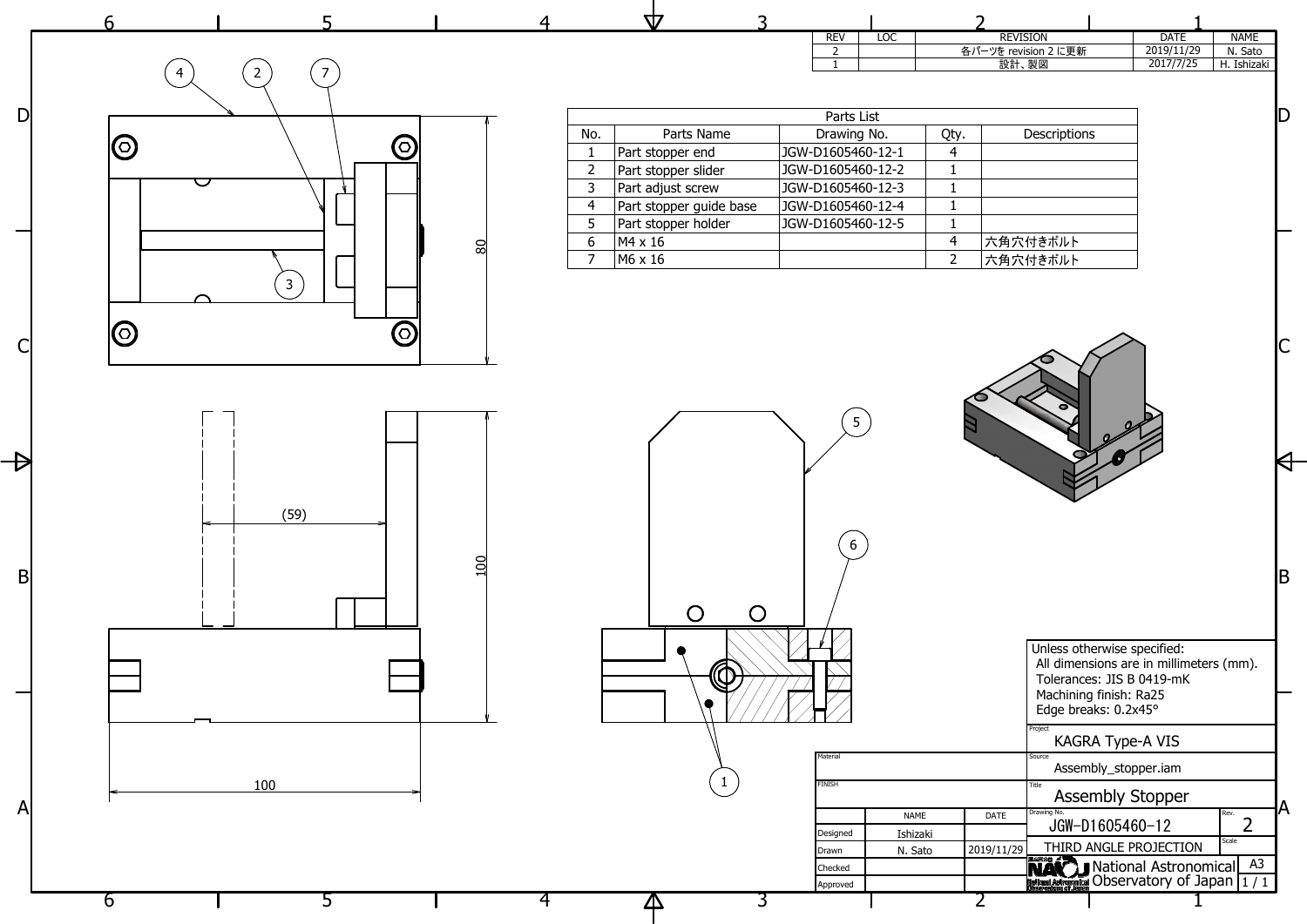|                        | 6                                          |               | <b>TZ</b>                                                                                                                                                          | <b>REV</b><br><b>LOC</b>                                                                                      | <b>REVISION</b>                                                                                                      | <b>NAME</b><br><b>DATE</b>                                                                                   |                         |
|------------------------|--------------------------------------------|---------------|--------------------------------------------------------------------------------------------------------------------------------------------------------------------|---------------------------------------------------------------------------------------------------------------|----------------------------------------------------------------------------------------------------------------------|--------------------------------------------------------------------------------------------------------------|-------------------------|
|                        | $\overline{7}$<br>$\overline{2}$           |               |                                                                                                                                                                    | $\overline{2}$                                                                                                | 各パーツを revision 2 に更新<br>設計、製図                                                                                        | 2019/11/29<br>N. Sato<br>2017/7/25<br>H. Ishizaki                                                            |                         |
| $\mathsf{D}\mathsf{I}$ | $\bm{\mathsf{\odot}}$<br>$\bigcirc$<br>U   |               | Parts Name<br>No.<br>Part stopper end<br>$\overline{2}$<br>Part stopper slider<br>Part adjust screw<br>$\overline{3}$<br>Part stopper guide base<br>$\overline{4}$ | Parts List<br>Drawing No.<br>JGW-D1605460-12-1<br>JGW-D1605460-12-2<br>JGW-D1605460-12-3<br>JGW-D1605460-12-4 | Descriptions<br>Qty.<br>$\overline{4}$<br>$\mathbf{1}$<br>$\mathbf{1}$<br>-1                                         |                                                                                                              | ID                      |
|                        | $\mathbf{3}$<br>$\bigcirc$<br>$\bm{\odot}$ | $\frac{1}{8}$ | 5<br>Part stopper holder<br>6<br>$M4 \times 16$<br>$MG \times 16$<br>$\overline{7}$                                                                                | JGW-D1605460-12-5                                                                                             | -1<br>$\overline{4}$<br>六角穴付きボルト<br>六角穴付きボルト<br>$\overline{2}$                                                       |                                                                                                              |                         |
| $\mathsf{C}\vert$      |                                            |               |                                                                                                                                                                    |                                                                                                               |                                                                                                                      |                                                                                                              | $\overline{\mathsf{C}}$ |
|                        | (59)                                       |               |                                                                                                                                                                    | 5 <sup>5</sup>                                                                                                |                                                                                                                      |                                                                                                              | K                       |
| Bļ                     |                                            | <u>al</u>     | $\bigcirc$                                                                                                                                                         | $6\overline{6}$<br>$\bigcirc$                                                                                 |                                                                                                                      |                                                                                                              | <b>IB</b>               |
|                        |                                            |               | $\circledR$                                                                                                                                                        |                                                                                                               | Unless otherwise specified:<br>Machining finish: Ra25<br>Edge breaks: 0.2x45°                                        | All dimensions are in millimeters (mm).<br>Tolerances: JIS B 0419-mK<br><b>KAGRA Type-A VIS</b>              |                         |
| A                      | 100                                        |               | $\mathbf{1}$                                                                                                                                                       | Material<br><b>FINISH</b><br>Designed<br>Drawn                                                                | Source<br>Title<br>Drawing No.<br><b>NAME</b><br><b>DATE</b><br>JGW-D1605460-12<br>Ishizaki<br>2019/11/29<br>N. Sato | Assembly_stopper.iam<br><b>Assembly Stopper</b><br>Rev.<br>$\overline{2}$<br>Scale<br>THIRD ANGLE PROJECTION |                         |
|                        | b                                          |               |                                                                                                                                                                    | Checked<br>Approved                                                                                           |                                                                                                                      | <b>NAC J</b> National Astronomical A3                                                                        |                         |



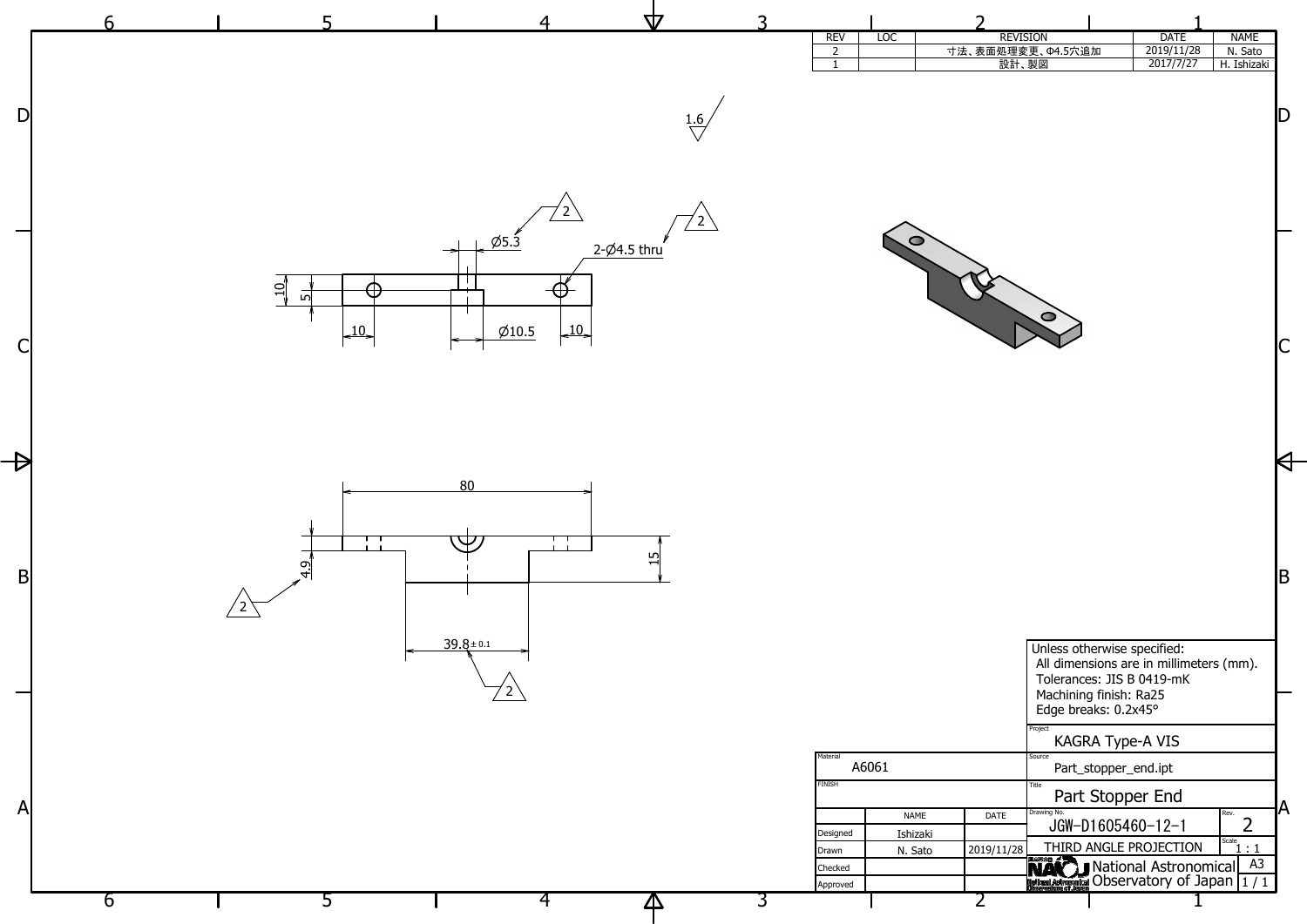

| <b>REVISION</b> |                                            | <b>DATE</b>           | <b>NAME</b>    |   |
|-----------------|--------------------------------------------|-----------------------|----------------|---|
|                 | 面処理変更、Φ4.5穴追加                              | 2019/11/28            | N. Sato        |   |
| 設計、製図           |                                            | 2017/7/27             | H. Ishizaki    |   |
|                 |                                            |                       |                |   |
|                 |                                            |                       |                |   |
|                 |                                            |                       |                |   |
|                 |                                            |                       |                |   |
|                 |                                            |                       |                |   |
|                 |                                            |                       |                |   |
|                 |                                            |                       |                |   |
|                 |                                            |                       |                |   |
|                 |                                            |                       |                |   |
|                 |                                            |                       |                |   |
|                 |                                            |                       |                |   |
|                 |                                            |                       |                |   |
|                 |                                            |                       |                |   |
|                 |                                            |                       |                |   |
|                 | ⊂                                          |                       |                |   |
|                 |                                            |                       |                |   |
|                 |                                            |                       |                |   |
|                 |                                            |                       |                |   |
|                 |                                            |                       |                |   |
|                 |                                            |                       |                |   |
|                 |                                            |                       |                |   |
|                 |                                            |                       |                |   |
|                 |                                            |                       |                |   |
|                 |                                            |                       |                |   |
|                 |                                            |                       |                |   |
|                 |                                            |                       |                |   |
|                 |                                            |                       |                |   |
|                 |                                            |                       |                |   |
|                 |                                            |                       |                |   |
|                 |                                            |                       |                |   |
|                 |                                            |                       |                |   |
|                 |                                            |                       |                | Β |
|                 |                                            |                       |                |   |
|                 |                                            |                       |                |   |
|                 |                                            |                       |                |   |
|                 | Unless otherwise specified:                |                       |                |   |
|                 | All dimensions are in millimeters (mm).    |                       |                |   |
|                 | Tolerances: JIS B 0419-mK                  |                       |                |   |
|                 | Machining finish: Ra25                     |                       |                |   |
|                 | Edge breaks: 0.2x45°                       |                       |                |   |
|                 | Project                                    |                       |                |   |
|                 | <b>KAGRA Type-A VIS</b>                    |                       |                |   |
|                 | Source<br>Part_stopper_end.ipt             |                       |                |   |
|                 | Title                                      |                       |                |   |
|                 | Part Stopper End                           |                       |                |   |
| DATE            | Drawing No.                                |                       | Rev.           | Δ |
|                 | $JGW-D1605460-12-1$                        |                       | フ              |   |
| 9/11/28         | THIRD ANGLE PROJECTION                     |                       | Scale          |   |
|                 | 国立天文台 2                                    | National Astronomical | A <sub>3</sub> |   |
|                 | National Astronomical Observatory of Japan |                       | 1/1            |   |
|                 |                                            |                       |                |   |
|                 |                                            |                       |                |   |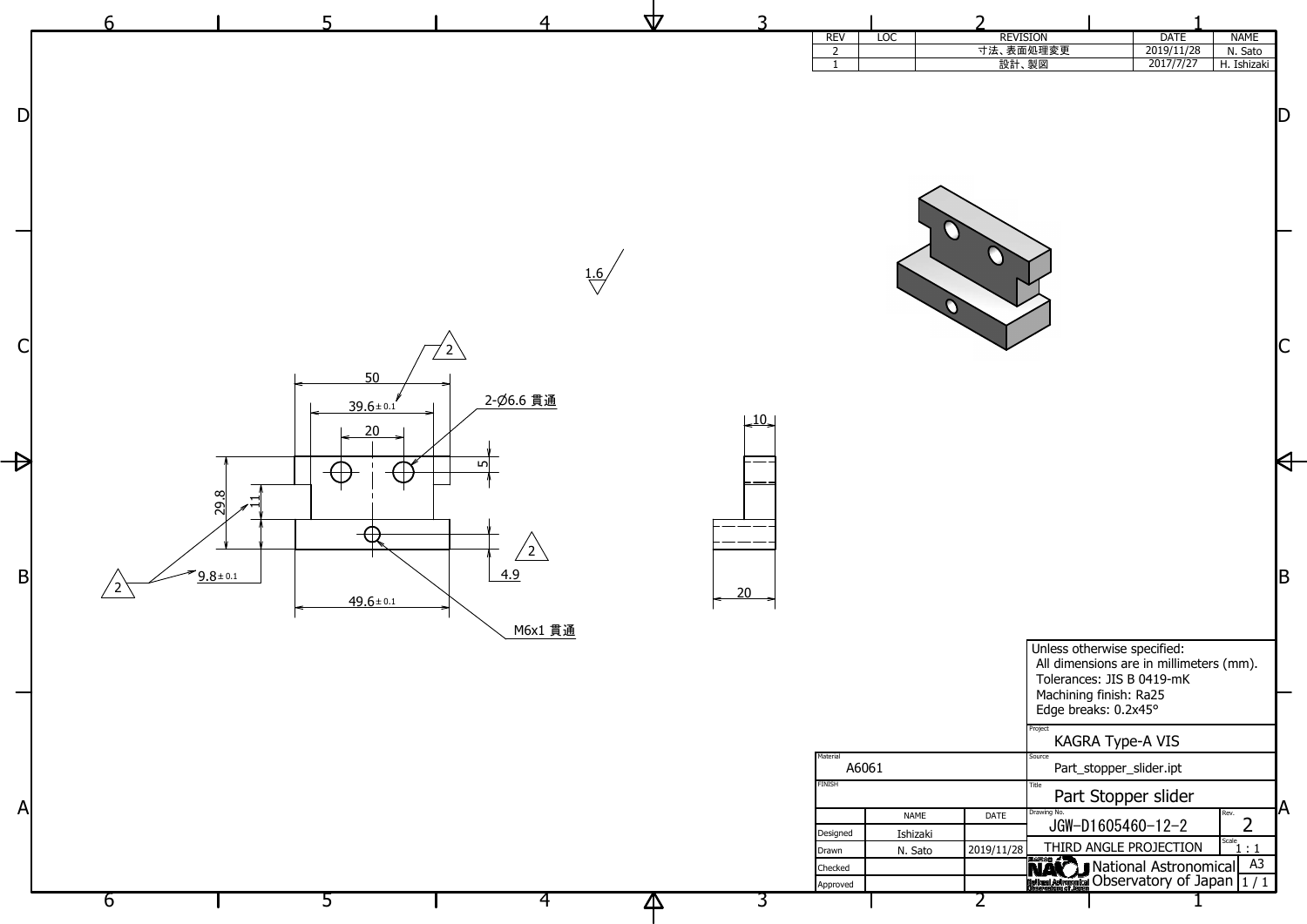

| <b>REVISION</b> |                                                                                                                                                       | <b>DATE</b>             | <b>NAME</b>            |   |
|-----------------|-------------------------------------------------------------------------------------------------------------------------------------------------------|-------------------------|------------------------|---|
| 設計、製図           | 法、表面処理変更                                                                                                                                              | 2019/11/28<br>2017/7/27 | N. Sato<br>H. Ishizaki |   |
|                 |                                                                                                                                                       |                         |                        |   |
|                 |                                                                                                                                                       |                         |                        | D |
|                 |                                                                                                                                                       |                         |                        |   |
|                 |                                                                                                                                                       |                         |                        |   |
|                 |                                                                                                                                                       |                         |                        |   |
|                 |                                                                                                                                                       |                         |                        | B |
|                 | Unless otherwise specified:<br>All dimensions are in millimeters (mm).<br>Tolerances: JIS B 0419-mK<br>Machining finish: Ra25<br>Edge breaks: 0.2x45° |                         |                        |   |
|                 | Project<br>KAGRA Type-A VIS                                                                                                                           |                         |                        |   |
|                 | Source<br>Part_stopper_slider.ipt                                                                                                                     |                         |                        |   |
|                 | Title<br>Part Stopper slider                                                                                                                          |                         |                        | Δ |
| DATE            | Drawing No.<br>$JGW-D1605460-12-2$                                                                                                                    |                         | Rev.                   |   |
| 9/11/28         | THIRD ANGLE PROJECTION<br>国立天文台 ノ                                                                                                                     |                         | Scale<br>: 1           |   |
|                 | <b>National Astrophical Observatory of Japan</b>                                                                                                      | National Astronomical   | A3<br>1/1              |   |
|                 |                                                                                                                                                       |                         |                        |   |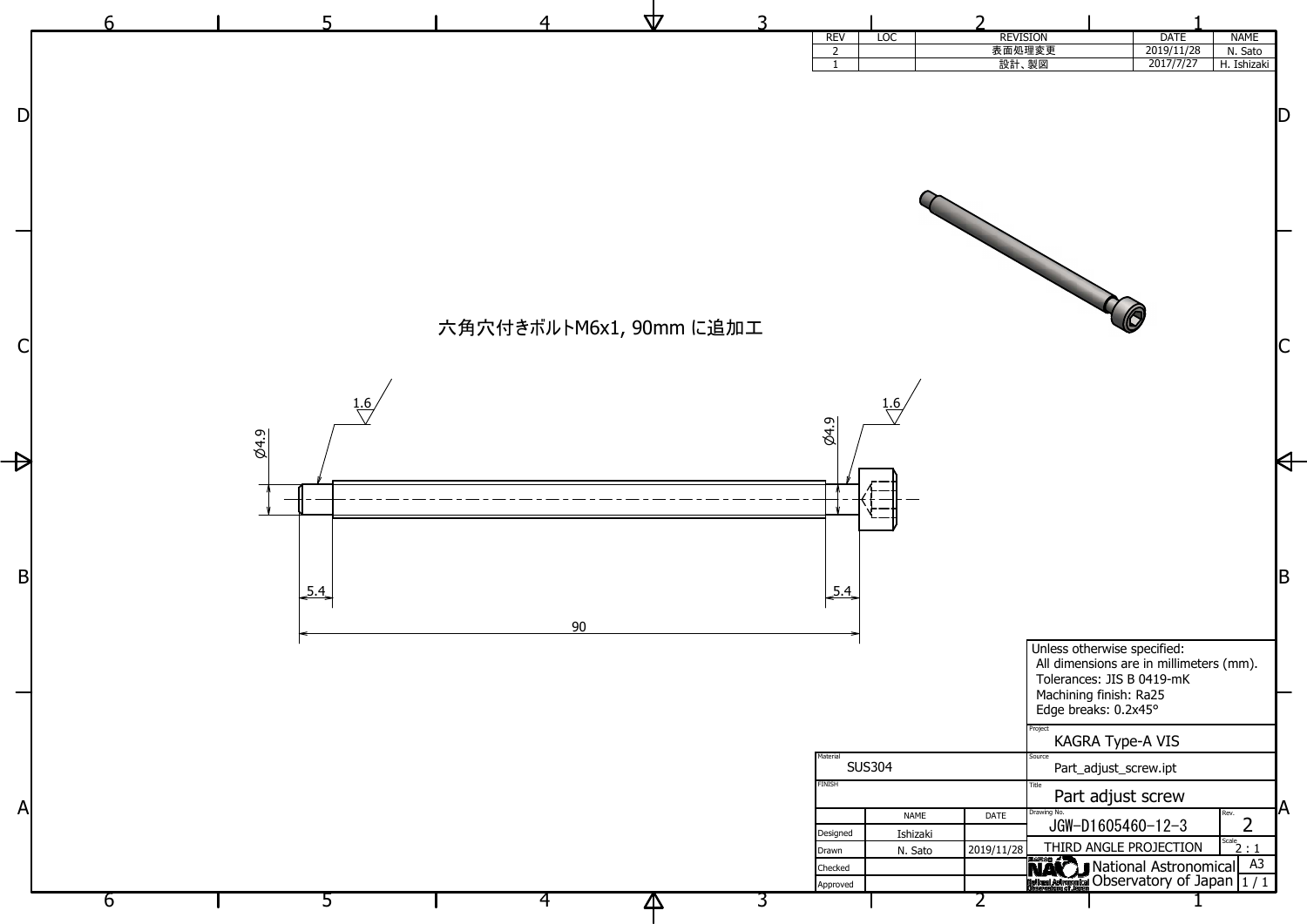

| <b>REVISION</b><br>表面処理変更 |                                                                                                                                                       | <b>DATE</b><br>2019/11/28 | <b>NAME</b>            |   |
|---------------------------|-------------------------------------------------------------------------------------------------------------------------------------------------------|---------------------------|------------------------|---|
| 設計、製図                     |                                                                                                                                                       | 2017/7/27                 | N. Sato<br>H. Ishizaki |   |
|                           |                                                                                                                                                       |                           |                        |   |
|                           |                                                                                                                                                       |                           |                        |   |
|                           |                                                                                                                                                       |                           |                        |   |
|                           |                                                                                                                                                       |                           |                        |   |
|                           |                                                                                                                                                       |                           |                        | B |
|                           | Unless otherwise specified:<br>All dimensions are in millimeters (mm).<br>Tolerances: JIS B 0419-mK<br>Machining finish: Ra25<br>Edge breaks: 0.2x45° |                           |                        |   |
|                           | Project<br>KAGRA Type-A VIS                                                                                                                           |                           |                        |   |
|                           | Source<br>Part_adjust_screw.ipt<br>Title                                                                                                              |                           |                        |   |
| <b>DATE</b>               | Part adjust screw<br>Drawing No.                                                                                                                      |                           | Rev.                   |   |
|                           | $JGW-D1605460-12-3$                                                                                                                                   |                           | Scale                  |   |
| 9/11/28                   | THIRD ANGLE PROJECTION<br>国立天文台 ▲                                                                                                                     | National Astronomical     | -1<br>A <sub>3</sub>   |   |
|                           | National Astronomical Observatory of Japan                                                                                                            |                           | 1/1                    |   |
|                           |                                                                                                                                                       |                           |                        |   |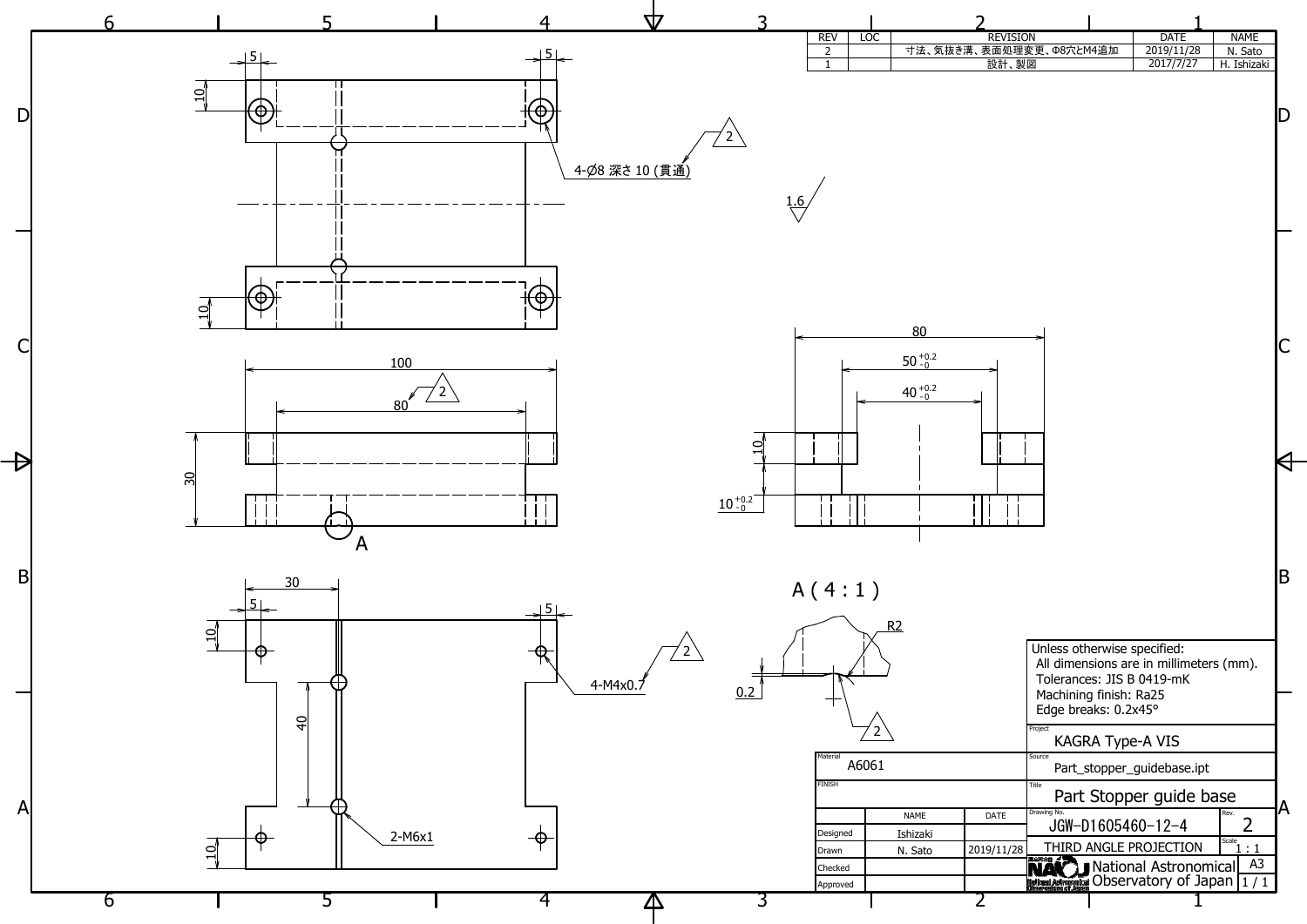| <b>REVISION</b> |                                                                                                                                                       | <b>DATE</b>             | <b>NAME</b>           |   |
|-----------------|-------------------------------------------------------------------------------------------------------------------------------------------------------|-------------------------|-----------------------|---|
|                 | 長面処理変更、Φ8穴とM4追加                                                                                                                                       | 2019/11/28              | N. Sato               |   |
| 設計、製図<br>т      |                                                                                                                                                       | 2017/7/27               | H. Ishizaki           |   |
|                 |                                                                                                                                                       |                         |                       | B |
|                 | Unless otherwise specified:<br>All dimensions are in millimeters (mm).<br>Tolerances: JIS B 0419-mK<br>Machining finish: Ra25<br>Edge breaks: 0.2x45° |                         |                       |   |
|                 | Project<br>KAGRA Type-A VIS<br>Source                                                                                                                 |                         |                       |   |
|                 | Part_stopper_guidebase.ipt<br>Title                                                                                                                   |                         |                       |   |
| <b>DATE</b>     | Drawing No.                                                                                                                                           | Part Stopper guide base | Rev.                  | Δ |
|                 | $JGW-D1605460-12-4$                                                                                                                                   |                         | Scale                 |   |
| 9/11/28         | THIRD ANGLE PROJECTION<br>国立天文台 』                                                                                                                     |                         | : 1                   |   |
|                 | National Astronomical Observatory of Japan                                                                                                            | National Astronomical   | A <sub>3</sub><br>1/1 |   |
|                 |                                                                                                                                                       |                         |                       |   |